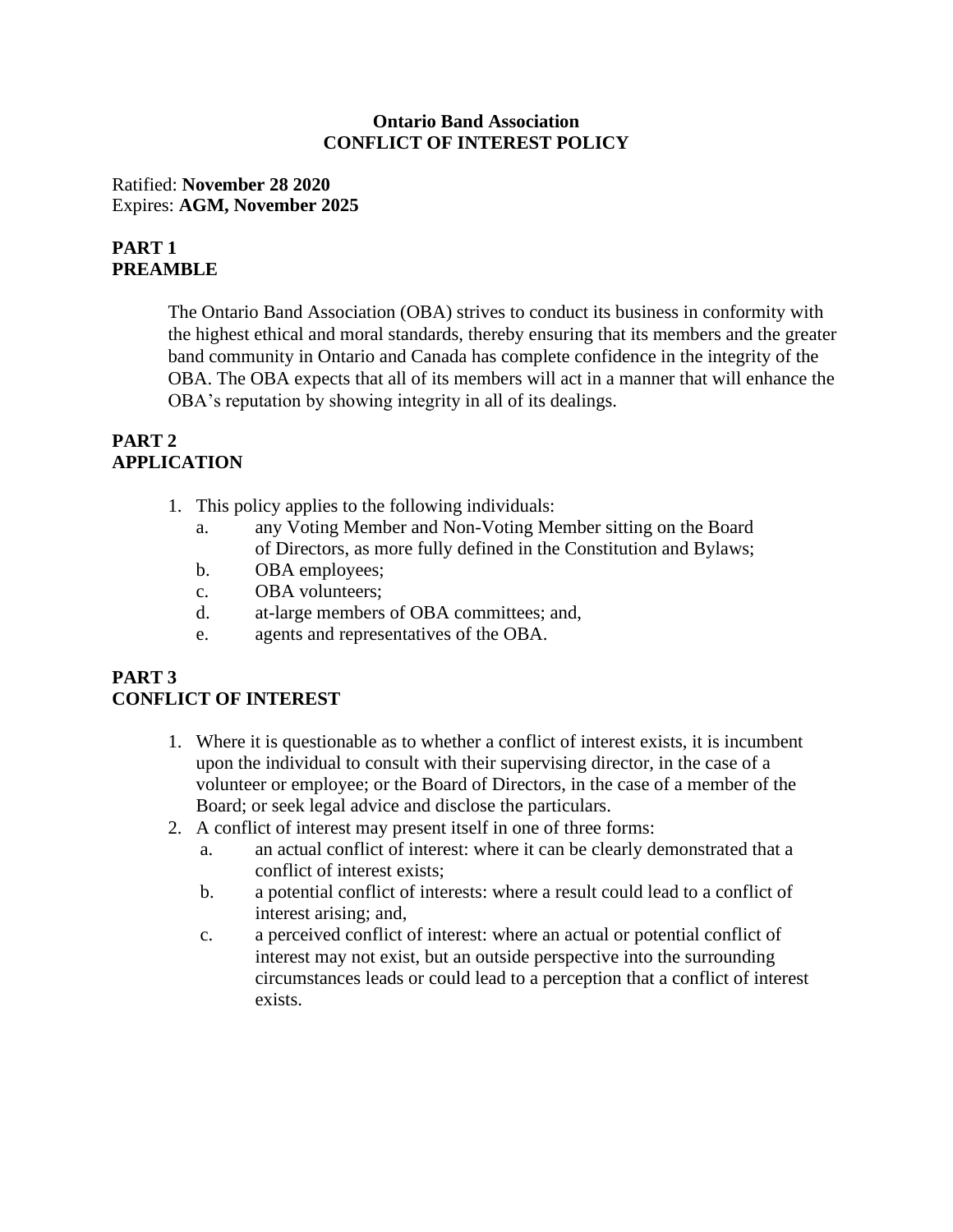### **Ontario Band Association CONFLICT OF INTEREST POLICY**

Ratified: **November 28 2020** Expires: **AGM, November 2025**

# **PART 1 PREAMBLE**

The Ontario Band Association (OBA) strives to conduct its business in conformity with the highest ethical and moral standards, thereby ensuring that its members and the greater band community in Ontario and Canada has complete confidence in the integrity of the OBA. The OBA expects that all of its members will act in a manner that will enhance the OBA's reputation by showing integrity in all of its dealings.

## **PART 2 APPLICATION**

- 1. This policy applies to the following individuals:
	- a. any Voting Member and Non-Voting Member sitting on the Board of Directors, as more fully defined in the Constitution and Bylaws;
	- b. OBA employees;
	- c. OBA volunteers;
	- d. at-large members of OBA committees; and,
	- e. agents and representatives of the OBA.

### **PART 3 CONFLICT OF INTEREST**

- 1. Where it is questionable as to whether a conflict of interest exists, it is incumbent upon the individual to consult with their supervising director, in the case of a volunteer or employee; or the Board of Directors, in the case of a member of the Board; or seek legal advice and disclose the particulars.
- 2. A conflict of interest may present itself in one of three forms:
	- a. an actual conflict of interest: where it can be clearly demonstrated that a conflict of interest exists;
	- b. a potential conflict of interests: where a result could lead to a conflict of interest arising; and,
	- c. a perceived conflict of interest: where an actual or potential conflict of interest may not exist, but an outside perspective into the surrounding circumstances leads or could lead to a perception that a conflict of interest exists.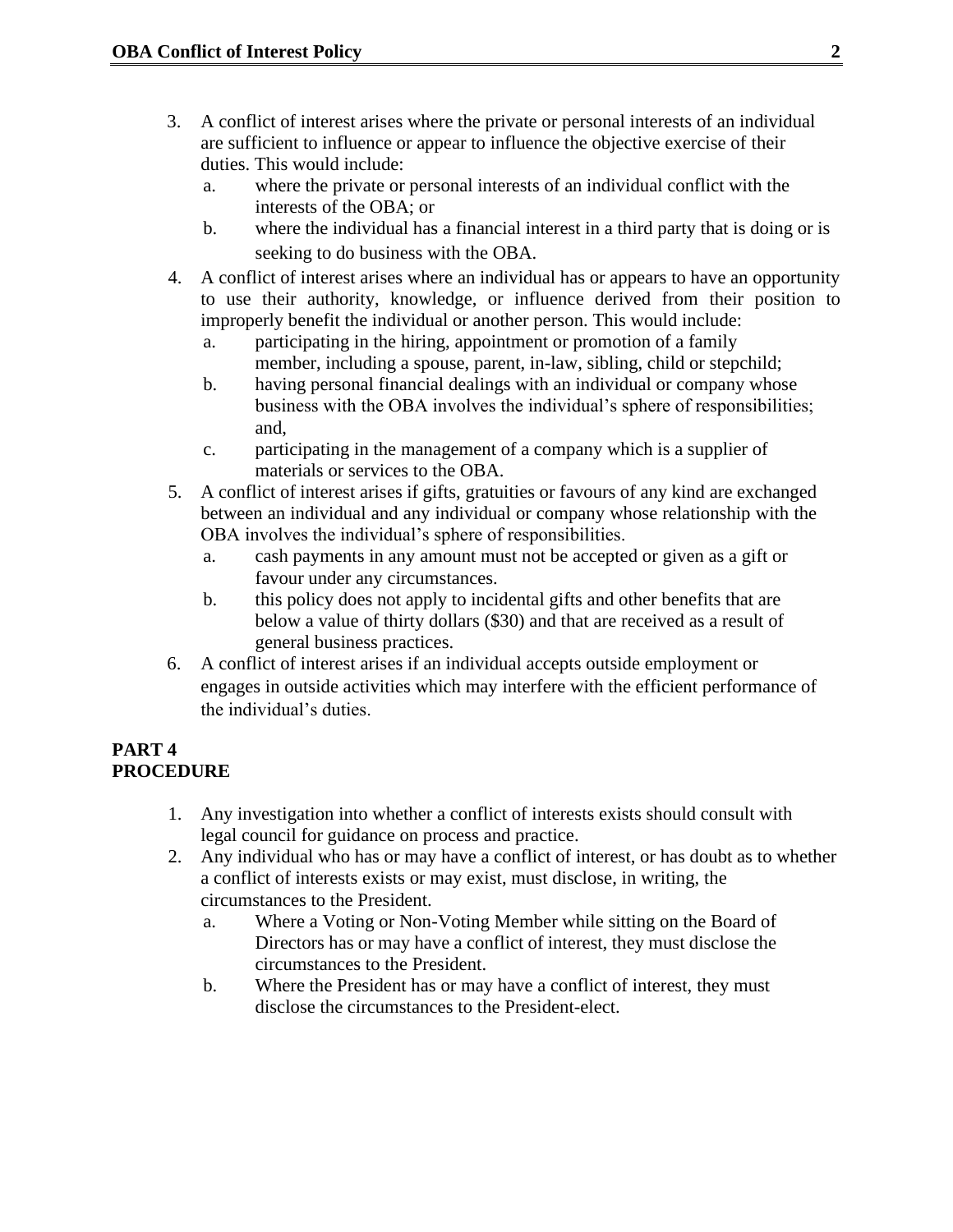- 3. A conflict of interest arises where the private or personal interests of an individual are sufficient to influence or appear to influence the objective exercise of their duties. This would include:
	- a. where the private or personal interests of an individual conflict with the interests of the OBA; or
	- b. where the individual has a financial interest in a third party that is doing or is seeking to do business with the OBA.
- 4. A conflict of interest arises where an individual has or appears to have an opportunity to use their authority, knowledge, or influence derived from their position to improperly benefit the individual or another person. This would include:
	- a. participating in the hiring, appointment or promotion of a family member, including a spouse, parent, in-law, sibling, child or stepchild;
	- b. having personal financial dealings with an individual or company whose business with the OBA involves the individual's sphere of responsibilities; and,
	- c. participating in the management of a company which is a supplier of materials or services to the OBA.
- 5. A conflict of interest arises if gifts, gratuities or favours of any kind are exchanged between an individual and any individual or company whose relationship with the OBA involves the individual's sphere of responsibilities.
	- a. cash payments in any amount must not be accepted or given as a gift or favour under any circumstances.
	- b. this policy does not apply to incidental gifts and other benefits that are below a value of thirty dollars (\$30) and that are received as a result of general business practices.
- 6. A conflict of interest arises if an individual accepts outside employment or engages in outside activities which may interfere with the efficient performance of the individual's duties.

### **PART 4 PROCEDURE**

- 1. Any investigation into whether a conflict of interests exists should consult with legal council for guidance on process and practice.
- 2. Any individual who has or may have a conflict of interest, or has doubt as to whether a conflict of interests exists or may exist, must disclose, in writing, the circumstances to the President.
	- a. Where a Voting or Non-Voting Member while sitting on the Board of Directors has or may have a conflict of interest, they must disclose the circumstances to the President.
	- b. Where the President has or may have a conflict of interest, they must disclose the circumstances to the President-elect.